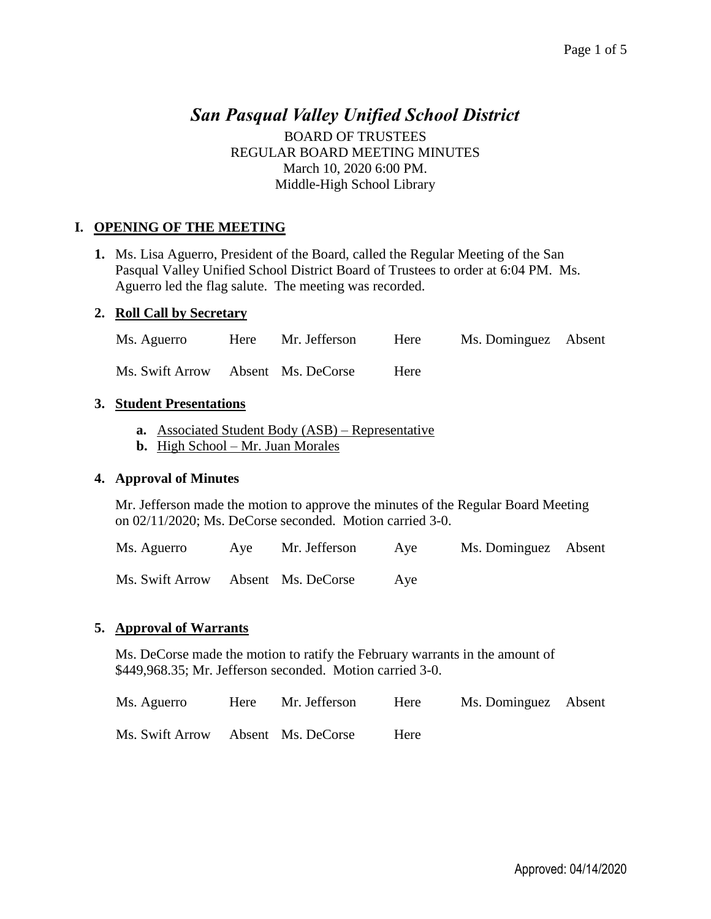# *San Pasqual Valley Unified School District*

BOARD OF TRUSTEES REGULAR BOARD MEETING MINUTES March 10, 2020 6:00 PM. Middle-High School Library

### **I. OPENING OF THE MEETING**

**1.** Ms. Lisa Aguerro, President of the Board, called the Regular Meeting of the San Pasqual Valley Unified School District Board of Trustees to order at 6:04 PM. Ms. Aguerro led the flag salute. The meeting was recorded.

#### **2. Roll Call by Secretary**

|  | Ms. Aguerro |  | Here Mr. Jefferson | Here | Ms. Dominguez Absent |  |
|--|-------------|--|--------------------|------|----------------------|--|
|--|-------------|--|--------------------|------|----------------------|--|

Ms. Swift Arrow Absent Ms. DeCorse Here

### **3. Student Presentations**

- **a.** Associated Student Body (ASB) Representative
- **b.** High School Mr. Juan Morales

#### **4. Approval of Minutes**

Mr. Jefferson made the motion to approve the minutes of the Regular Board Meeting on 02/11/2020; Ms. DeCorse seconded. Motion carried 3-0.

Ms. Aguerro Aye Mr. Jefferson Aye Ms. Dominguez Absent

Ms. Swift Arrow Absent Ms. DeCorse Aye

#### **5. Approval of Warrants**

Ms. DeCorse made the motion to ratify the February warrants in the amount of \$449,968.35; Mr. Jefferson seconded. Motion carried 3-0.

| Ms. Aguerro                        | Here Mr. Jefferson | Here | Ms. Dominguez Absent |  |
|------------------------------------|--------------------|------|----------------------|--|
| Ms. Swift Arrow Absent Ms. DeCorse |                    | Here |                      |  |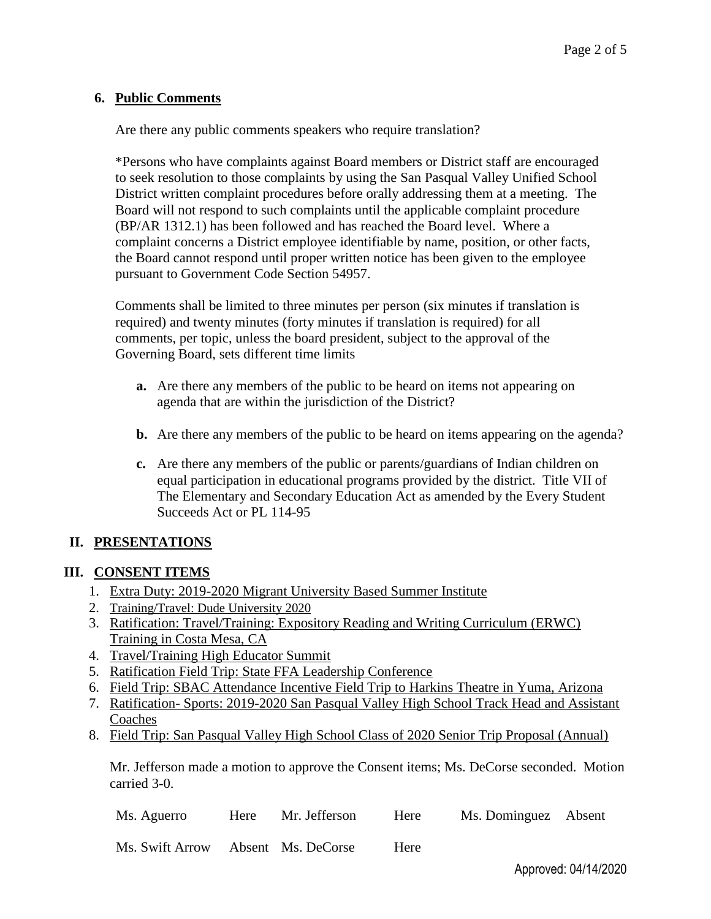#### **6. Public Comments**

Are there any public comments speakers who require translation?

\*Persons who have complaints against Board members or District staff are encouraged to seek resolution to those complaints by using the San Pasqual Valley Unified School District written complaint procedures before orally addressing them at a meeting. The Board will not respond to such complaints until the applicable complaint procedure (BP/AR 1312.1) has been followed and has reached the Board level. Where a complaint concerns a District employee identifiable by name, position, or other facts, the Board cannot respond until proper written notice has been given to the employee pursuant to Government Code Section 54957.

Comments shall be limited to three minutes per person (six minutes if translation is required) and twenty minutes (forty minutes if translation is required) for all comments, per topic, unless the board president, subject to the approval of the Governing Board, sets different time limits

- **a.** Are there any members of the public to be heard on items not appearing on agenda that are within the jurisdiction of the District?
- **b.** Are there any members of the public to be heard on items appearing on the agenda?
- **c.** Are there any members of the public or parents/guardians of Indian children on equal participation in educational programs provided by the district. Title VII of The Elementary and Secondary Education Act as amended by the Every Student Succeeds Act or PL 114-95

# **II. PRESENTATIONS**

#### **III. CONSENT ITEMS**

- 1. Extra Duty: 2019-2020 Migrant University Based Summer Institute
- 2. Training/Travel: Dude University 2020
- 3. Ratification: Travel/Training: Expository Reading and Writing Curriculum (ERWC) Training in Costa Mesa, CA
- 4. Travel/Training High Educator Summit
- 5. Ratification Field Trip: State FFA Leadership Conference
- 6. Field Trip: SBAC Attendance Incentive Field Trip to Harkins Theatre in Yuma, Arizona
- 7. Ratification- Sports: 2019-2020 San Pasqual Valley High School Track Head and Assistant **Coaches**
- 8. Field Trip: San Pasqual Valley High School Class of 2020 Senior Trip Proposal (Annual)

Mr. Jefferson made a motion to approve the Consent items; Ms. DeCorse seconded. Motion carried 3-0.

| Ms. Aguerro | Here Mr. Jefferson Here | Ms. Dominguez Absent |  |
|-------------|-------------------------|----------------------|--|
|             |                         |                      |  |

Ms. Swift Arrow Absent Ms. DeCorse Here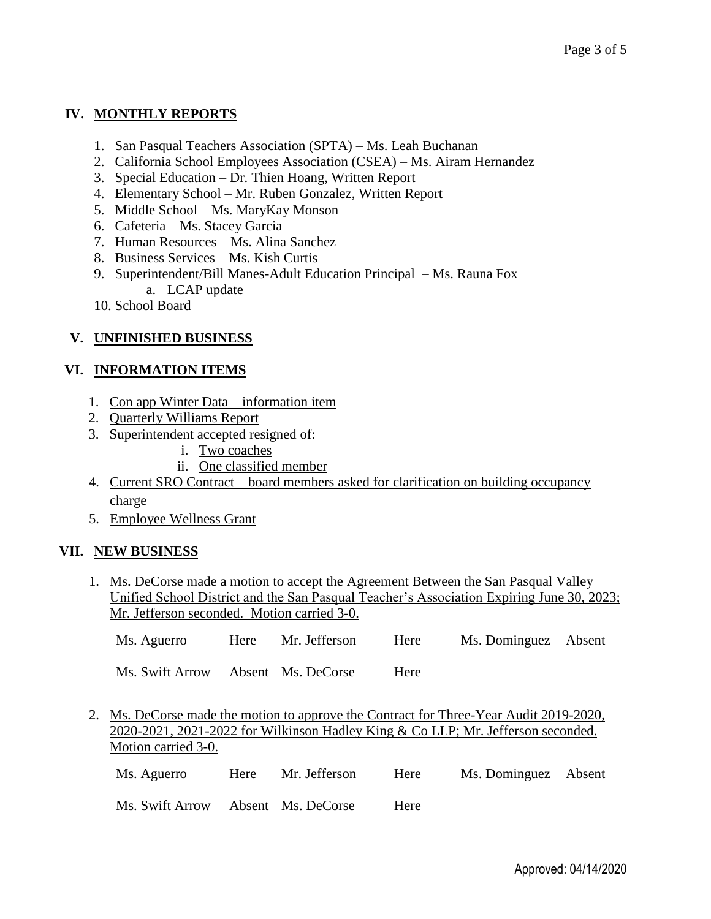# **IV. MONTHLY REPORTS**

- 1. San Pasqual Teachers Association (SPTA) Ms. Leah Buchanan
- 2. California School Employees Association (CSEA) Ms. Airam Hernandez
- 3. Special Education Dr. Thien Hoang, Written Report
- 4. Elementary School Mr. Ruben Gonzalez, Written Report
- 5. Middle School Ms. MaryKay Monson
- 6. Cafeteria Ms. Stacey Garcia
- 7. Human Resources Ms. Alina Sanchez
- 8. Business Services Ms. Kish Curtis
- 9. Superintendent/Bill Manes-Adult Education Principal Ms. Rauna Fox a. LCAP update
- 10. School Board

# **V. UNFINISHED BUSINESS**

# **VI. INFORMATION ITEMS**

- 1. Con app Winter Data information item
- 2. Quarterly Williams Report
- 3. Superintendent accepted resigned of:
	- i. Two coaches
		- ii. One classified member
- 4. Current SRO Contract board members asked for clarification on building occupancy charge
- 5. Employee Wellness Grant

# **VII. NEW BUSINESS**

1. Ms. DeCorse made a motion to accept the Agreement Between the San Pasqual Valley Unified School District and the San Pasqual Teacher's Association Expiring June 30, 2023; Mr. Jefferson seconded. Motion carried 3-0.

|  | Ms. Aguerro | Here | Mr. Jefferson | Here | Ms. Dominguez Absent |  |
|--|-------------|------|---------------|------|----------------------|--|
|--|-------------|------|---------------|------|----------------------|--|

Ms. Swift Arrow Absent Ms. DeCorse Here

2. Ms. DeCorse made the motion to approve the Contract for Three-Year Audit 2019-2020, 2020-2021, 2021-2022 for Wilkinson Hadley King & Co LLP; Mr. Jefferson seconded. Motion carried 3-0.

| Ms. Aguerro                        | Here Mr. Jefferson | Here         | Ms. Dominguez Absent |  |
|------------------------------------|--------------------|--------------|----------------------|--|
| Ms. Swift Arrow Absent Ms. DeCorse |                    | <b>H</b> ere |                      |  |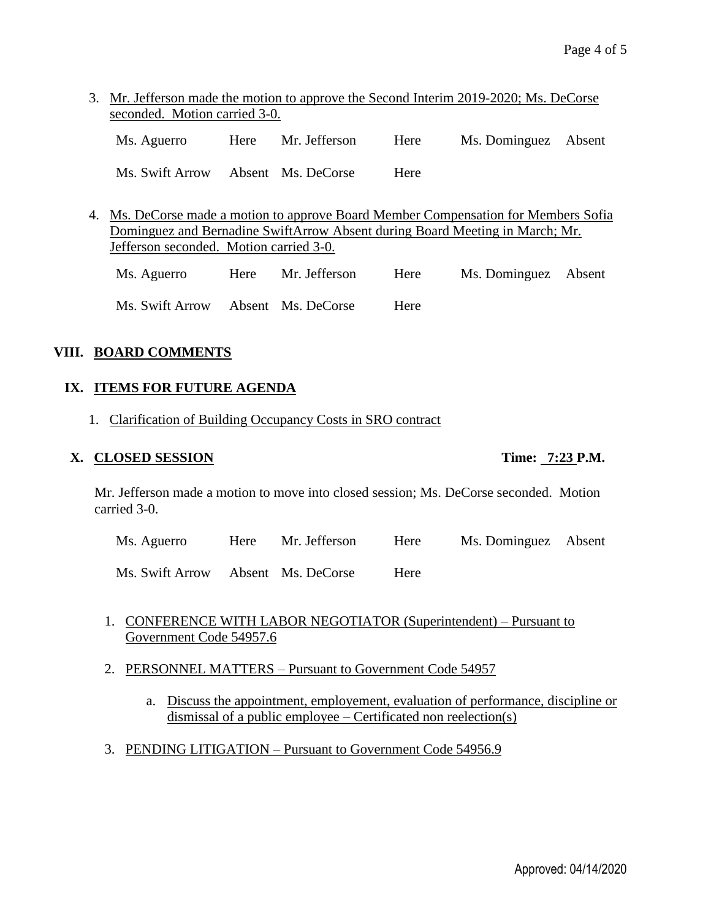3. Mr. Jefferson made the motion to approve the Second Interim 2019-2020; Ms. DeCorse seconded. Motion carried 3-0.

| Ms. Aguerro                        | Here | Mr. Jefferson | Here | Ms. Dominguez Absent |  |
|------------------------------------|------|---------------|------|----------------------|--|
| Ms. Swift Arrow Absent Ms. DeCorse |      |               | Here |                      |  |

4. Ms. DeCorse made a motion to approve Board Member Compensation for Members Sofia Dominguez and Bernadine SwiftArrow Absent during Board Meeting in March; Mr. Jefferson seconded. Motion carried 3-0.

Ms. Aguerro Here Mr. Jefferson Here Ms. Dominguez Absent Ms. Swift Arrow Absent Ms. DeCorse Here

# **VIII. BOARD COMMENTS**

# **IX. ITEMS FOR FUTURE AGENDA**

1. Clarification of Building Occupancy Costs in SRO contract

# **X. CLOSED SESSION Time: 7:23 P.M.**

Mr. Jefferson made a motion to move into closed session; Ms. DeCorse seconded. Motion carried 3-0.

Ms. Aguerro Here Mr. Jefferson Here Ms. Dominguez Absent

Ms. Swift Arrow Absent Ms. DeCorse Here

- 1. CONFERENCE WITH LABOR NEGOTIATOR (Superintendent) Pursuant to Government Code 54957.6
- 2. PERSONNEL MATTERS Pursuant to Government Code 54957
	- a. Discuss the appointment, employement, evaluation of performance, discipline or dismissal of a public employee – Certificated non reelection(s)
- 3. PENDING LITIGATION Pursuant to Government Code 54956.9